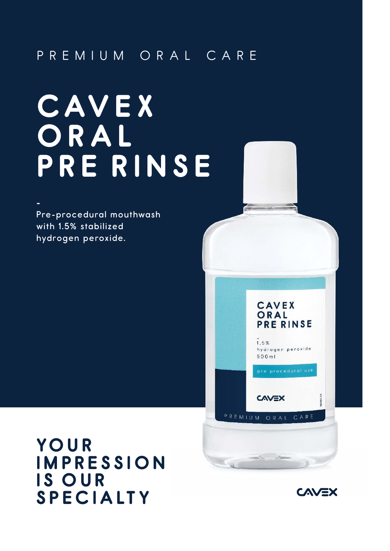## PREM I UM ORAL CARE

# **C AV E X O R A L PRE R l N S E**

Pre-procedural mouthwash with 1.5% stabilized hydrogen peroxide.

**-**

**YO U R l MPRESS l O N l S OUR SPEC l A LT Y**